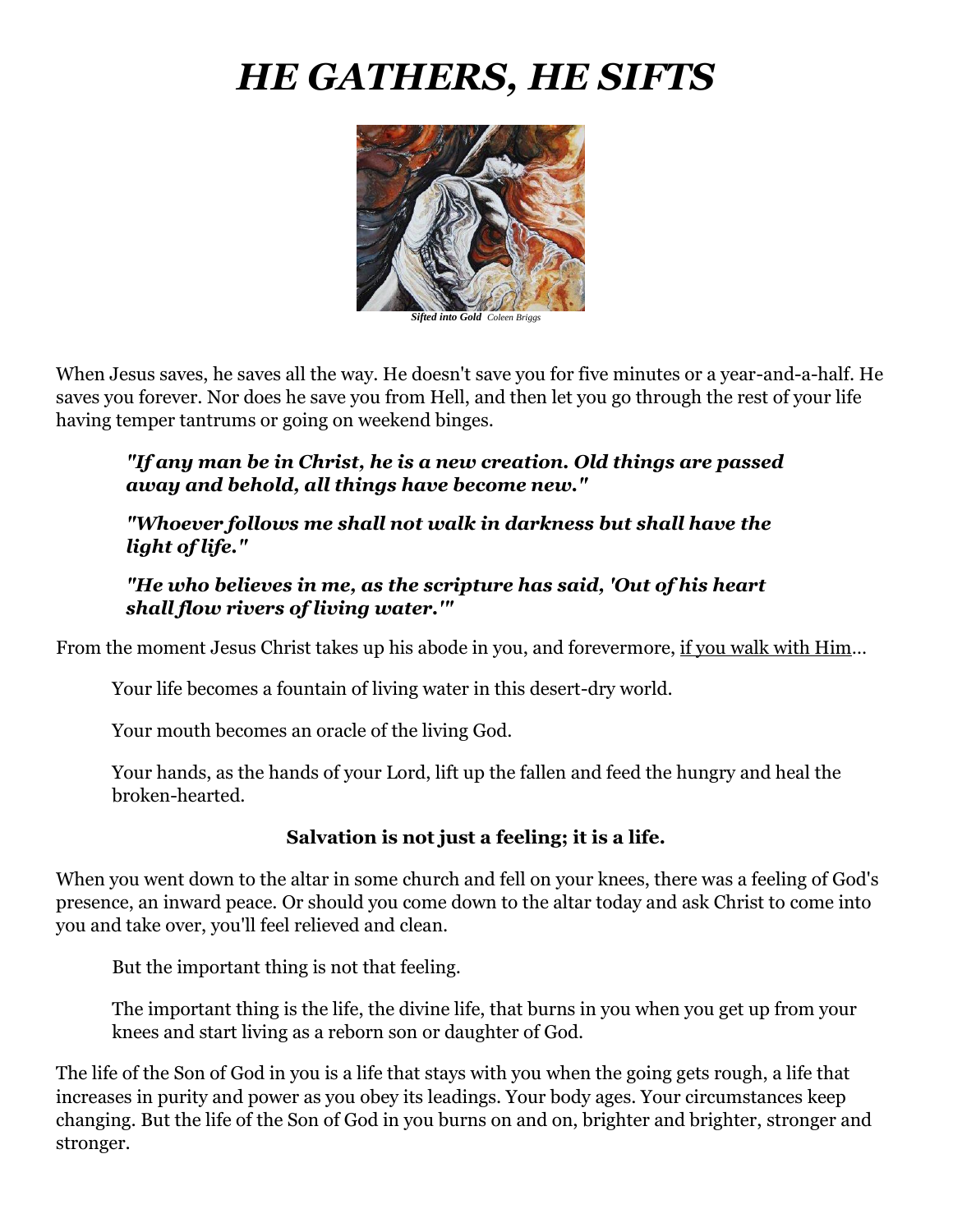# *HE GATHERS, HE SIFTS*



*Sifted into Gold Coleen Briggs*

When Jesus saves, he saves all the way. He doesn't save you for five minutes or a year-and-a-half. He saves you forever. Nor does he save you from Hell, and then let you go through the rest of your life having temper tantrums or going on weekend binges.

*"If any man be in Christ, he is a new creation. Old things are passed away and behold, all things have become new."*

#### *"Whoever follows me shall not walk in darkness but shall have the light of life."*

#### *"He who believes in me, as the scripture has said, 'Out of his heart shall flow rivers of living water.'"*

From the moment Jesus Christ takes up his abode in you, and forevermore, if you walk with Him…

Your life becomes a fountain of living water in this desert-dry world.

Your mouth becomes an oracle of the living God.

Your hands, as the hands of your Lord, lift up the fallen and feed the hungry and heal the broken-hearted.

#### **Salvation is not just a feeling; it is a life.**

When you went down to the altar in some church and fell on your knees, there was a feeling of God's presence, an inward peace. Or should you come down to the altar today and ask Christ to come into you and take over, you'll feel relieved and clean.

But the important thing is not that feeling.

The important thing is the life, the divine life, that burns in you when you get up from your knees and start living as a reborn son or daughter of God.

The life of the Son of God in you is a life that stays with you when the going gets rough, a life that increases in purity and power as you obey its leadings. Your body ages. Your circumstances keep changing. But the life of the Son of God in you burns on and on, brighter and brighter, stronger and stronger.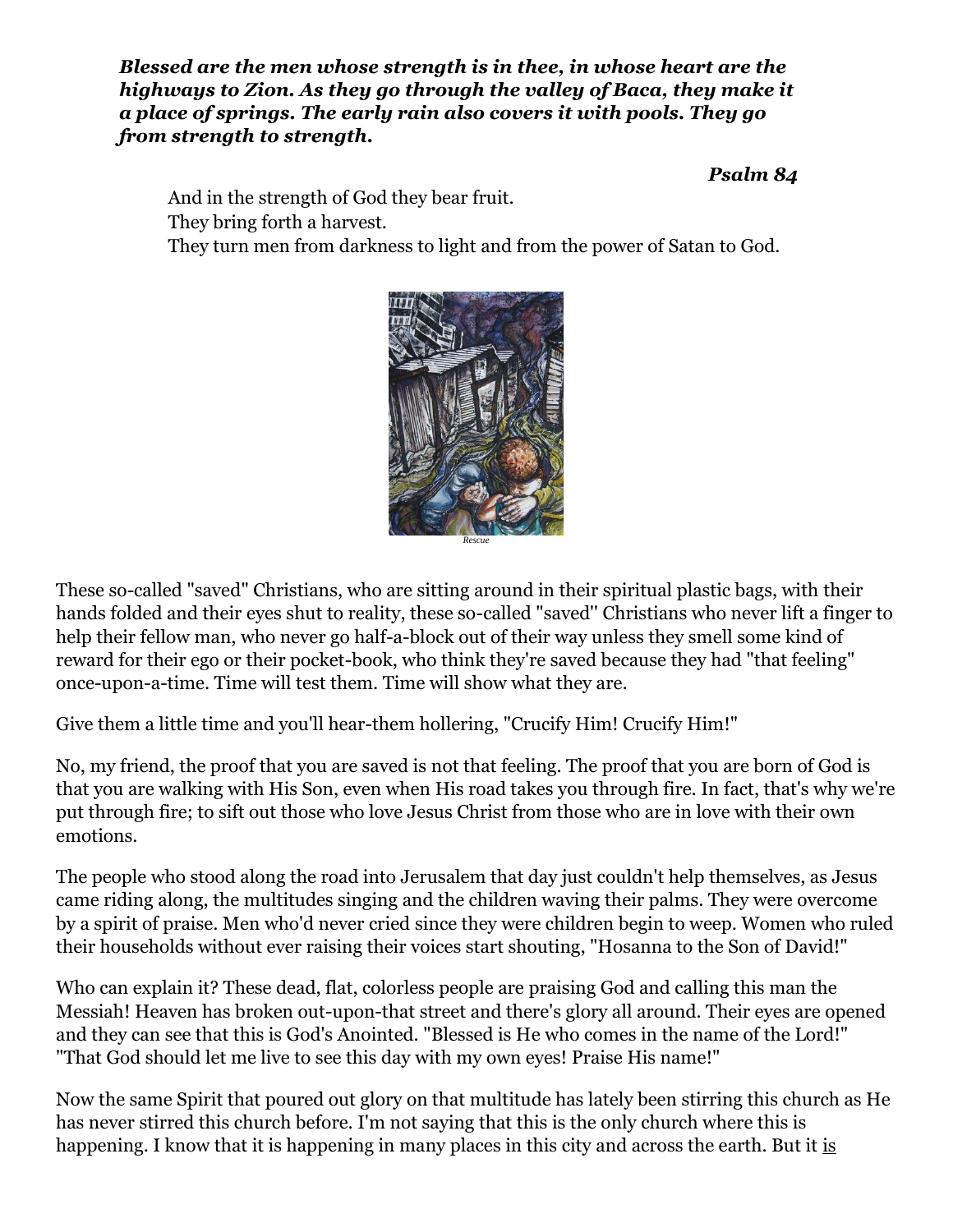*Blessed are the men whose strength is in thee, in whose heart are the highways to Zion. As they go through the valley of Baca, they make it a place of springs. The early rain also covers it with pools. They go from strength to strength.*

#### *Psalm 84*

And in the strength of God they bear fruit. They bring forth a harvest. They turn men from darkness to light and from the power of Satan to God.



*Rescue*

These so-called "saved" Christians, who are sitting around in their spiritual plastic bags, with their hands folded and their eyes shut to reality, these so-called "saved'' Christians who never lift a finger to help their fellow man, who never go half-a-block out of their way unless they smell some kind of reward for their ego or their pocket-book, who think they're saved because they had "that feeling" once-upon-a-time. Time will test them. Time will show what they are.

Give them a little time and you'll hear-them hollering, "Crucify Him! Crucify Him!"

No, my friend, the proof that you are saved is not that feeling. The proof that you are born of God is that you are walking with His Son, even when His road takes you through fire. In fact, that's why we're put through fire; to sift out those who love Jesus Christ from those who are in love with their own emotions.

The people who stood along the road into Jerusalem that day just couldn't help themselves, as Jesus came riding along, the multitudes singing and the children waving their palms. They were overcome by a spirit of praise. Men who'd never cried since they were children begin to weep. Women who ruled their households without ever raising their voices start shouting, "Hosanna to the Son of David!"

Who can explain it? These dead, flat, colorless people are praising God and calling this man the Messiah! Heaven has broken out-upon-that street and there's glory all around. Their eyes are opened and they can see that this is God's Anointed. "Blessed is He who comes in the name of the Lord!" "That God should let me live to see this day with my own eyes! Praise His name!"

Now the same Spirit that poured out glory on that multitude has lately been stirring this church as He has never stirred this church before. I'm not saying that this is the only church where this is happening. I know that it is happening in many places in this city and across the earth. But it is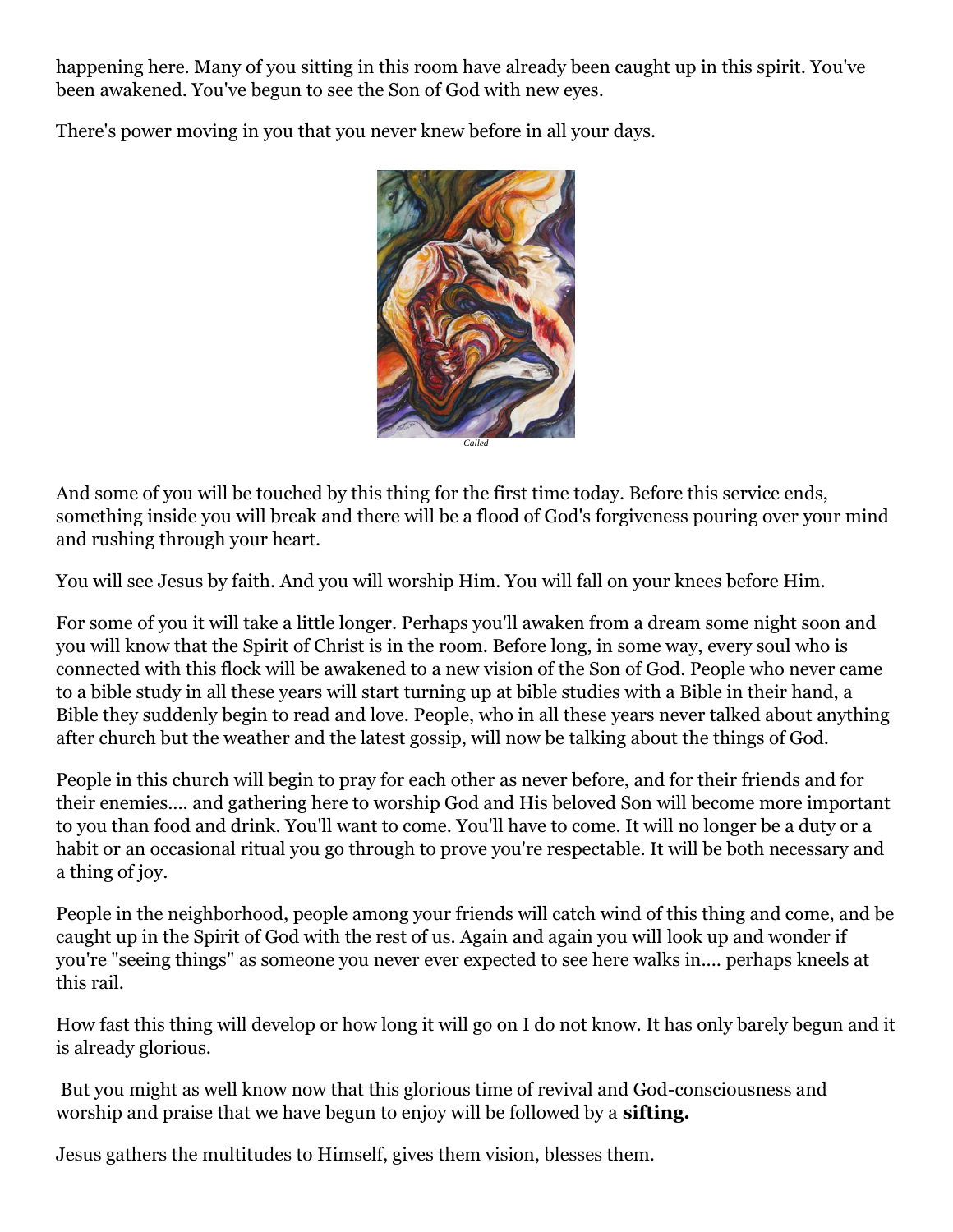happening here. Many of you sitting in this room have already been caught up in this spirit. You've been awakened. You've begun to see the Son of God with new eyes.

There's power moving in you that you never knew before in all your days.



And some of you will be touched by this thing for the first time today. Before this service ends, something inside you will break and there will be a flood of God's forgiveness pouring over your mind and rushing through your heart.

You will see Jesus by faith. And you will worship Him. You will fall on your knees before Him.

For some of you it will take a little longer. Perhaps you'll awaken from a dream some night soon and you will know that the Spirit of Christ is in the room. Before long, in some way, every soul who is connected with this flock will be awakened to a new vision of the Son of God. People who never came to a bible study in all these years will start turning up at bible studies with a Bible in their hand, a Bible they suddenly begin to read and love. People, who in all these years never talked about anything after church but the weather and the latest gossip, will now be talking about the things of God.

People in this church will begin to pray for each other as never before, and for their friends and for their enemies.... and gathering here to worship God and His beloved Son will become more important to you than food and drink. You'll want to come. You'll have to come. It will no longer be a duty or a habit or an occasional ritual you go through to prove you're respectable. It will be both necessary and a thing of joy.

People in the neighborhood, people among your friends will catch wind of this thing and come, and be caught up in the Spirit of God with the rest of us. Again and again you will look up and wonder if you're "seeing things" as someone you never ever expected to see here walks in.... perhaps kneels at this rail.

How fast this thing will develop or how long it will go on I do not know. It has only barely begun and it is already glorious.

But you might as well know now that this glorious time of revival and God-consciousness and worship and praise that we have begun to enjoy will be followed by a **sifting.**

Jesus gathers the multitudes to Himself, gives them vision, blesses them.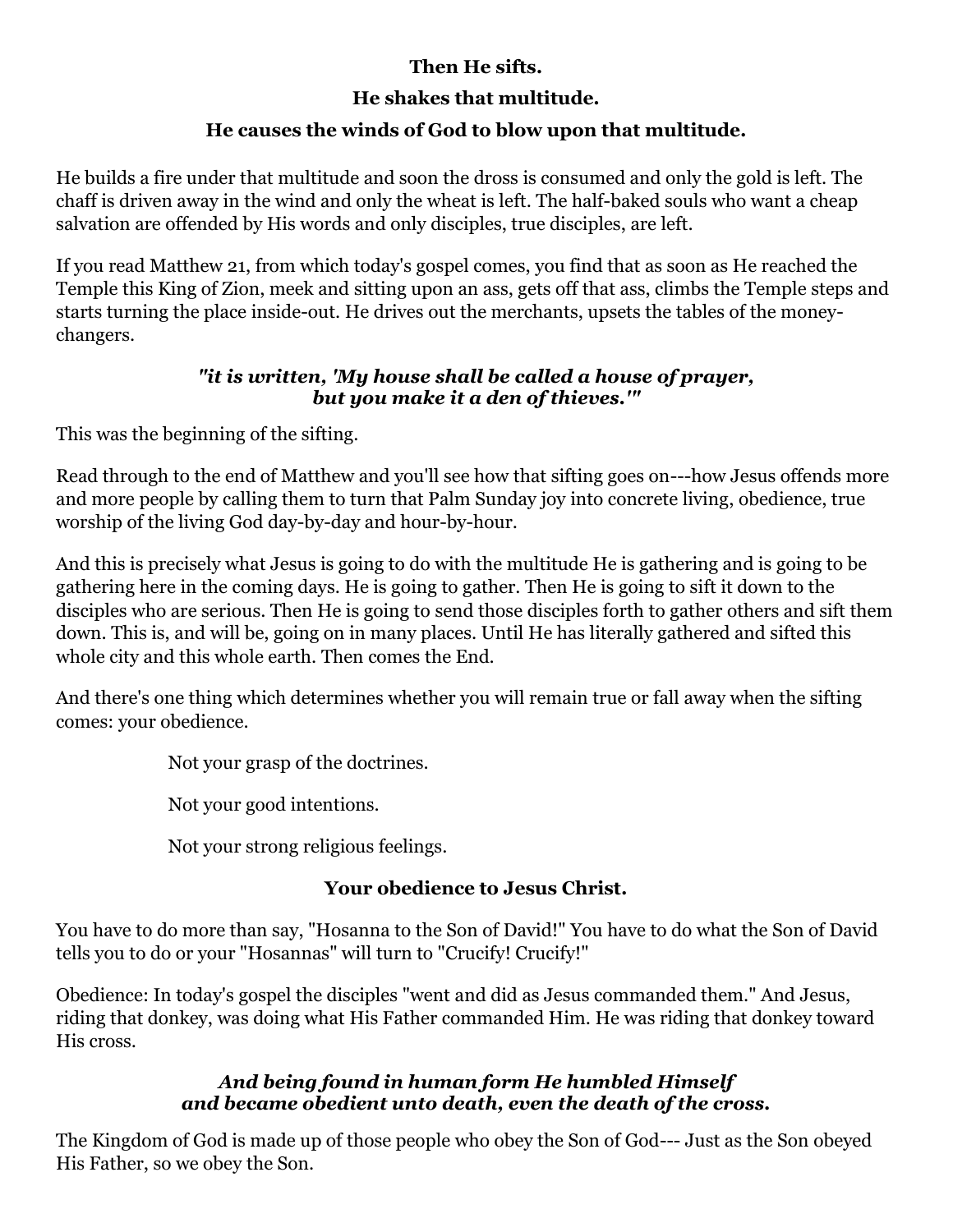## **Then He sifts.**

## **He shakes that multitude.**

## **He causes the winds of God to blow upon that multitude.**

He builds a fire under that multitude and soon the dross is consumed and only the gold is left. The chaff is driven away in the wind and only the wheat is left. The half-baked souls who want a cheap salvation are offended by His words and only disciples, true disciples, are left.

If you read Matthew 21, from which today's gospel comes, you find that as soon as He reached the Temple this King of Zion, meek and sitting upon an ass, gets off that ass, climbs the Temple steps and starts turning the place inside-out. He drives out the merchants, upsets the tables of the moneychangers.

## *"it is written, 'My house shall be called a house of prayer, but you make it a den of thieves.'"*

This was the beginning of the sifting.

Read through to the end of Matthew and you'll see how that sifting goes on---how Jesus offends more and more people by calling them to turn that Palm Sunday joy into concrete living, obedience, true worship of the living God day-by-day and hour-by-hour.

And this is precisely what Jesus is going to do with the multitude He is gathering and is going to be gathering here in the coming days. He is going to gather. Then He is going to sift it down to the disciples who are serious. Then He is going to send those disciples forth to gather others and sift them down. This is, and will be, going on in many places. Until He has literally gathered and sifted this whole city and this whole earth. Then comes the End.

And there's one thing which determines whether you will remain true or fall away when the sifting comes: your obedience.

Not your grasp of the doctrines.

Not your good intentions.

Not your strong religious feelings.

## **Your obedience to Jesus Christ.**

You have to do more than say, "Hosanna to the Son of David!" You have to do what the Son of David tells you to do or your "Hosannas" will turn to "Crucify! Crucify!"

Obedience: In today's gospel the disciples "went and did as Jesus commanded them." And Jesus, riding that donkey, was doing what His Father commanded Him. He was riding that donkey toward His cross.

## *And being found in human form He humbled Himself and became obedient unto death, even the death of the cross.*

The Kingdom of God is made up of those people who obey the Son of God--- Just as the Son obeyed His Father, so we obey the Son.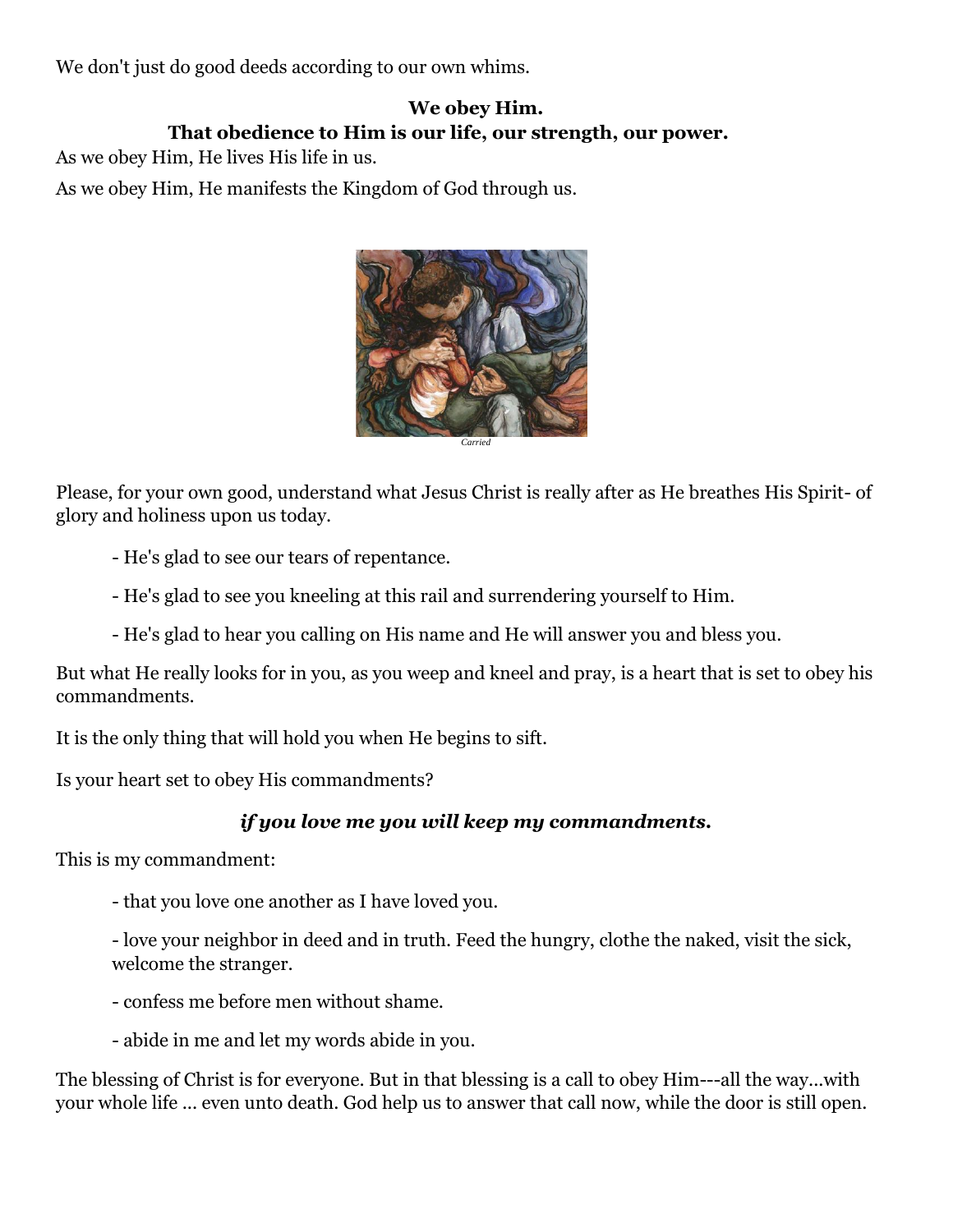We don't just do good deeds according to our own whims.

## **We obey Him. That obedience to Him is our life, our strength, our power.**

As we obey Him, He lives His life in us.

As we obey Him, He manifests the Kingdom of God through us.



Please, for your own good, understand what Jesus Christ is really after as He breathes His Spirit- of glory and holiness upon us today.

- He's glad to see our tears of repentance.
- He's glad to see you kneeling at this rail and surrendering yourself to Him.
- He's glad to hear you calling on His name and He will answer you and bless you.

But what He really looks for in you, as you weep and kneel and pray, is a heart that is set to obey his commandments.

It is the only thing that will hold you when He begins to sift.

Is your heart set to obey His commandments?

## *if you love me you will keep my commandments.*

This is my commandment:

- that you love one another as I have loved you.

- love your neighbor in deed and in truth. Feed the hungry, clothe the naked, visit the sick, welcome the stranger.

- confess me before men without shame.

- abide in me and let my words abide in you.

The blessing of Christ is for everyone. But in that blessing is a call to obey Him---all the way...with your whole life ... even unto death. God help us to answer that call now, while the door is still open.